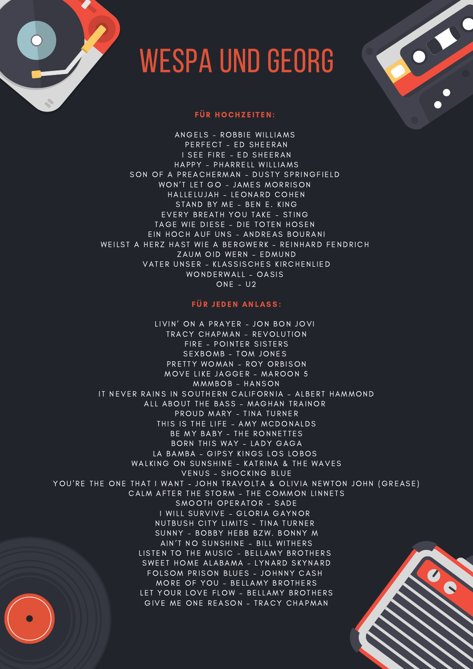

## WESPA UND GEORG

## FÜR HOCHZEITEN:

ANGELS - ROBBIE WILLIAMS PERFECT - ED SHEERAN I SEE FIRE - ED SHEERAN HAPPY - PHARRELL WILLIAMS SON OF A PREACHERMAN - DUSTY SPRINGFIELD WON'T LET GO - JAMES MORRISON HALLELUJAH - LEONARD COHEN STAND BY ME - BEN E. KING EVERY BREATH YOU TAKE - STING TAGE WIE DIESE - DIE TOTEN HOSEN EIN HOCH AUF UNS - ANDREAS BOURANI WEILST A HERZ HAST WIE A BERGWERK - REINHARD FENDRICH ZAUM OID WERN - EDMUND VATER UNSER - KLASSISCHES KIRCHENLIED WONDERWALL - OASIS ONE – U2

## FÜR JEDEN ANLASS:

LIVIN' ON A PRAYER - JON BON JOVI TRACY CHAPMAN - REVOLUTION FIRE - POINTER SISTERS SEXBOMB - TOM JONES

PRETTY WOMAN - ROY ORBISON MOVE LIKE JAGGER - MAROON 5 MMMBOB - HANSON IT NEVER RAINS IN SOUTHERN CALIFORNIA - ALBERT HAMMOND ALL ABOUT THE BASS - MAGHAN TRAINOR PROUD MARY - TINA TURNER THIS IS THE LIFE - AMY MCDONALDS BE MY BABY - THE RONNETTES BORN THIS WAY - LADY GAGA LA BAMBA - GIPSY KINGS LOS LOBOS WALKING ON SUNSHINE - KATRINA & THE WAVES VENUS - SHOCKING BLUE YOU'RE THE ONE THAT I WANT - JOHN TRAVOLTA & OLIVIA NEWTON JOHN (GREASE) CALM AFTER THE STORM - THE COMMON LINNETS SMOOTH OPERATOR - SADE I WILL SURVIVE - GLORIA GAYNOR NUTBUSH CITY LIMITS - TINA TURNER SUNNY - BOBBY HEBB BZW. BONNY M AIN'T NO SUNSHINE - BILL WITHERS LISTEN TO THE MUSIC - BELLAMY BROTHERS SWEET HOME ALABAMA - LYNARD SKYNARD FOLSOM PRISON BLUES - JOHNNY CASH MORE OF YOU - BELLAMY BROTHERS LET YOUR LOVE FLOW - BELLAMY BROTHERS GIVE ME ONE REASON - TRACY CHAPMAN